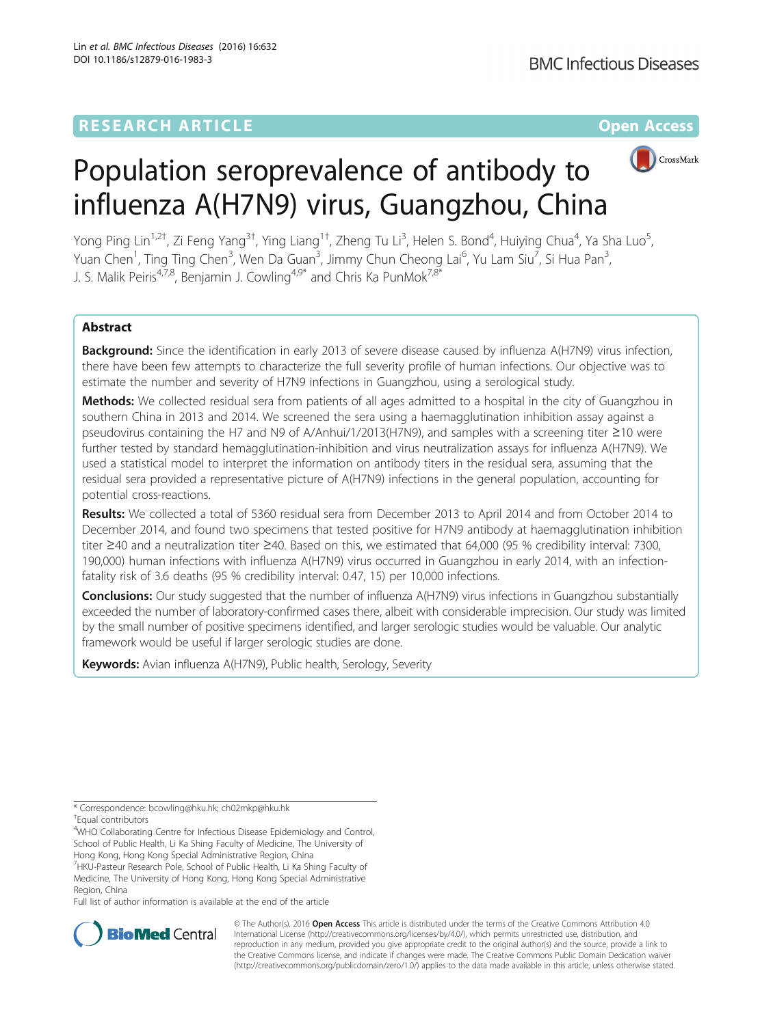## **RESEARCH ARTICLE Example 2014 12:30 The Contract of Contract ACCESS**



# Population seroprevalence of antibody to influenza A(H7N9) virus, Guangzhou, China

Yong Ping Lin<sup>1,2†</sup>, Zi Feng Yang<sup>3†</sup>, Ying Liang<sup>1†</sup>, Zheng Tu Li<sup>3</sup>, Helen S. Bond<sup>4</sup>, Huiying Chua<sup>4</sup>, Ya Sha Luo<sup>5</sup> , Yuan Chen<sup>1</sup>, Ting Ting Chen<sup>3</sup>, Wen Da Guan<sup>3</sup>, Jimmy Chun Cheong Lai<sup>6</sup>, Yu Lam Siu<sup>7</sup>, Si Hua Pan<sup>3</sup> , J. S. Malik Peiris<sup>4,7,8</sup>, Benjamin J. Cowling<sup>4,9\*</sup> and Chris Ka PunMok<sup>7,8\*</sup>

## Abstract

**Background:** Since the identification in early 2013 of severe disease caused by influenza A(H7N9) virus infection, there have been few attempts to characterize the full severity profile of human infections. Our objective was to estimate the number and severity of H7N9 infections in Guangzhou, using a serological study.

Methods: We collected residual sera from patients of all ages admitted to a hospital in the city of Guangzhou in southern China in 2013 and 2014. We screened the sera using a haemagglutination inhibition assay against a pseudovirus containing the H7 and N9 of A/Anhui/1/2013(H7N9), and samples with a screening titer ≥10 were further tested by standard hemagglutination-inhibition and virus neutralization assays for influenza A(H7N9). We used a statistical model to interpret the information on antibody titers in the residual sera, assuming that the residual sera provided a representative picture of A(H7N9) infections in the general population, accounting for potential cross-reactions.

Results: We collected a total of 5360 residual sera from December 2013 to April 2014 and from October 2014 to December 2014, and found two specimens that tested positive for H7N9 antibody at haemagglutination inhibition titer ≥40 and a neutralization titer ≥40. Based on this, we estimated that 64,000 (95 % credibility interval: 7300, 190,000) human infections with influenza A(H7N9) virus occurred in Guangzhou in early 2014, with an infectionfatality risk of 3.6 deaths (95 % credibility interval: 0.47, 15) per 10,000 infections.

Conclusions: Our study suggested that the number of influenza A(H7N9) virus infections in Guangzhou substantially exceeded the number of laboratory-confirmed cases there, albeit with considerable imprecision. Our study was limited by the small number of positive specimens identified, and larger serologic studies would be valuable. Our analytic framework would be useful if larger serologic studies are done.

Keywords: Avian influenza A(H7N9), Public health, Serology, Severity

Full list of author information is available at the end of the article



© The Author(s). 2016 Open Access This article is distributed under the terms of the Creative Commons Attribution 4.0 International License [\(http://creativecommons.org/licenses/by/4.0/](http://creativecommons.org/licenses/by/4.0/)), which permits unrestricted use, distribution, and reproduction in any medium, provided you give appropriate credit to the original author(s) and the source, provide a link to the Creative Commons license, and indicate if changes were made. The Creative Commons Public Domain Dedication waiver [\(http://creativecommons.org/publicdomain/zero/1.0/](http://creativecommons.org/publicdomain/zero/1.0/)) applies to the data made available in this article, unless otherwise stated.

<sup>\*</sup> Correspondence: [bcowling@hku.hk](mailto:bcowling@hku.hk); [ch02mkp@hku.hk](mailto:ch02mkp@hku.hk) †

Equal contributors

<sup>&</sup>lt;sup>4</sup>WHO Collaborating Centre for Infectious Disease Epidemiology and Control, School of Public Health, Li Ka Shing Faculty of Medicine, The University of Hong Kong, Hong Kong Special Administrative Region, China

<sup>&</sup>lt;sup>7</sup> HKU-Pasteur Research Pole, School of Public Health, Li Ka Shing Faculty of Medicine, The University of Hong Kong, Hong Kong Special Administrative

Region, China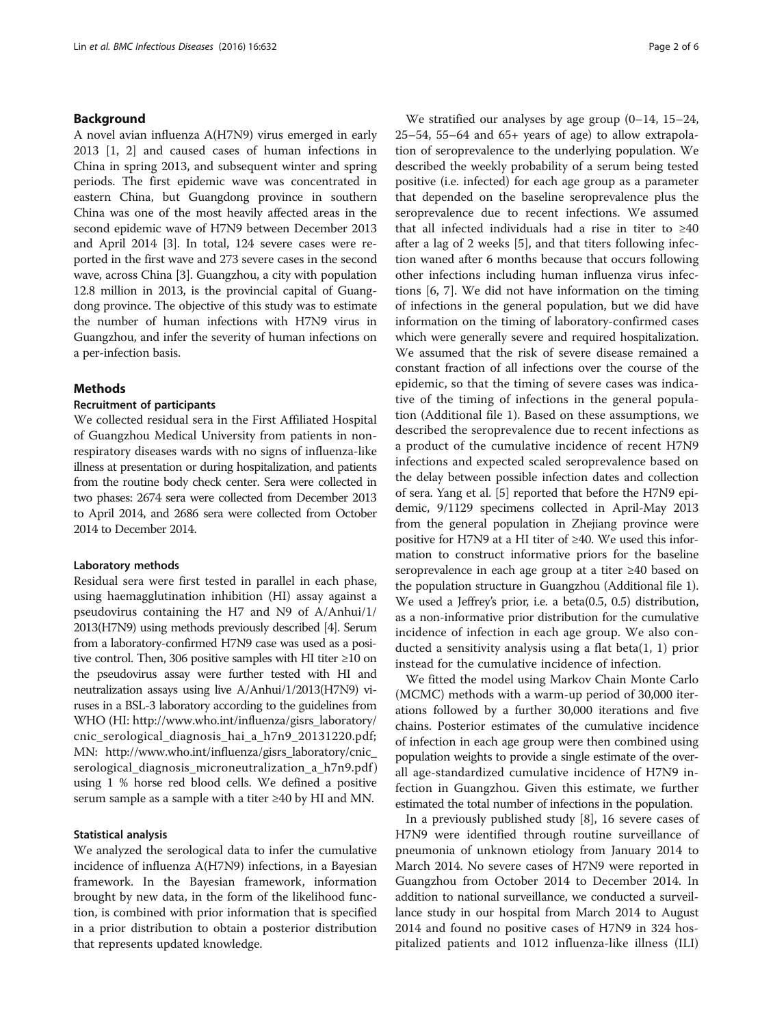## Background

A novel avian influenza A(H7N9) virus emerged in early 2013 [[1, 2](#page-5-0)] and caused cases of human infections in China in spring 2013, and subsequent winter and spring periods. The first epidemic wave was concentrated in eastern China, but Guangdong province in southern China was one of the most heavily affected areas in the second epidemic wave of H7N9 between December 2013 and April 2014 [[3](#page-5-0)]. In total, 124 severe cases were reported in the first wave and 273 severe cases in the second wave, across China [[3](#page-5-0)]. Guangzhou, a city with population 12.8 million in 2013, is the provincial capital of Guangdong province. The objective of this study was to estimate the number of human infections with H7N9 virus in Guangzhou, and infer the severity of human infections on a per-infection basis.

## Methods

## Recruitment of participants

We collected residual sera in the First Affiliated Hospital of Guangzhou Medical University from patients in nonrespiratory diseases wards with no signs of influenza-like illness at presentation or during hospitalization, and patients from the routine body check center. Sera were collected in two phases: 2674 sera were collected from December 2013 to April 2014, and 2686 sera were collected from October 2014 to December 2014.

#### Laboratory methods

Residual sera were first tested in parallel in each phase, using haemagglutination inhibition (HI) assay against a pseudovirus containing the H7 and N9 of A/Anhui/1/ 2013(H7N9) using methods previously described [[4](#page-5-0)]. Serum from a laboratory-confirmed H7N9 case was used as a positive control. Then, 306 positive samples with HI titer ≥10 on the pseudovirus assay were further tested with HI and neutralization assays using live A/Anhui/1/2013(H7N9) viruses in a BSL-3 laboratory according to the guidelines from WHO (HI: [http://www.who.int/influenza/gisrs\\_laboratory/](http://www.who.int/influenza/gisrs_laboratory/cnic_serological_diagnosis_hai_a_h7n9_20131220.pdf) [cnic\\_serological\\_diagnosis\\_hai\\_a\\_h7n9\\_20131220.pdf;](http://www.who.int/influenza/gisrs_laboratory/cnic_serological_diagnosis_hai_a_h7n9_20131220.pdf) MN: [http://www.who.int/influenza/gisrs\\_laboratory/cnic\\_](http://www.who.int/influenza/gisrs_laboratory/cnic_serological_diagnosis_microneutralization_a_h7n9.pdf) [serological\\_diagnosis\\_microneutralization\\_a\\_h7n9.pdf](http://www.who.int/influenza/gisrs_laboratory/cnic_serological_diagnosis_microneutralization_a_h7n9.pdf)) using 1 % horse red blood cells. We defined a positive serum sample as a sample with a titer ≥40 by HI and MN.

## Statistical analysis

We analyzed the serological data to infer the cumulative incidence of influenza A(H7N9) infections, in a Bayesian framework. In the Bayesian framework, information brought by new data, in the form of the likelihood function, is combined with prior information that is specified in a prior distribution to obtain a posterior distribution that represents updated knowledge.

We stratified our analyses by age group (0–14, 15–24,  $25-54$ ,  $55-64$  and  $65+$  years of age) to allow extrapolation of seroprevalence to the underlying population. We described the weekly probability of a serum being tested positive (i.e. infected) for each age group as a parameter that depended on the baseline seroprevalence plus the seroprevalence due to recent infections. We assumed that all infected individuals had a rise in titer to  $\geq 40$ after a lag of 2 weeks [\[5](#page-5-0)], and that titers following infection waned after 6 months because that occurs following other infections including human influenza virus infections [\[6](#page-5-0), [7\]](#page-5-0). We did not have information on the timing of infections in the general population, but we did have information on the timing of laboratory-confirmed cases which were generally severe and required hospitalization. We assumed that the risk of severe disease remained a constant fraction of all infections over the course of the epidemic, so that the timing of severe cases was indicative of the timing of infections in the general population (Additional file [1\)](#page-4-0). Based on these assumptions, we described the seroprevalence due to recent infections as a product of the cumulative incidence of recent H7N9 infections and expected scaled seroprevalence based on the delay between possible infection dates and collection of sera. Yang et al. [[5\]](#page-5-0) reported that before the H7N9 epidemic, 9/1129 specimens collected in April-May 2013 from the general population in Zhejiang province were positive for H7N9 at a HI titer of ≥40. We used this information to construct informative priors for the baseline seroprevalence in each age group at a titer ≥40 based on the population structure in Guangzhou (Additional file [1](#page-4-0)). We used a Jeffrey's prior, i.e. a beta(0.5, 0.5) distribution, as a non-informative prior distribution for the cumulative incidence of infection in each age group. We also conducted a sensitivity analysis using a flat beta(1, 1) prior instead for the cumulative incidence of infection.

We fitted the model using Markov Chain Monte Carlo (MCMC) methods with a warm-up period of 30,000 iterations followed by a further 30,000 iterations and five chains. Posterior estimates of the cumulative incidence of infection in each age group were then combined using population weights to provide a single estimate of the overall age-standardized cumulative incidence of H7N9 infection in Guangzhou. Given this estimate, we further estimated the total number of infections in the population.

In a previously published study [[8\]](#page-5-0), 16 severe cases of H7N9 were identified through routine surveillance of pneumonia of unknown etiology from January 2014 to March 2014. No severe cases of H7N9 were reported in Guangzhou from October 2014 to December 2014. In addition to national surveillance, we conducted a surveillance study in our hospital from March 2014 to August 2014 and found no positive cases of H7N9 in 324 hospitalized patients and 1012 influenza-like illness (ILI)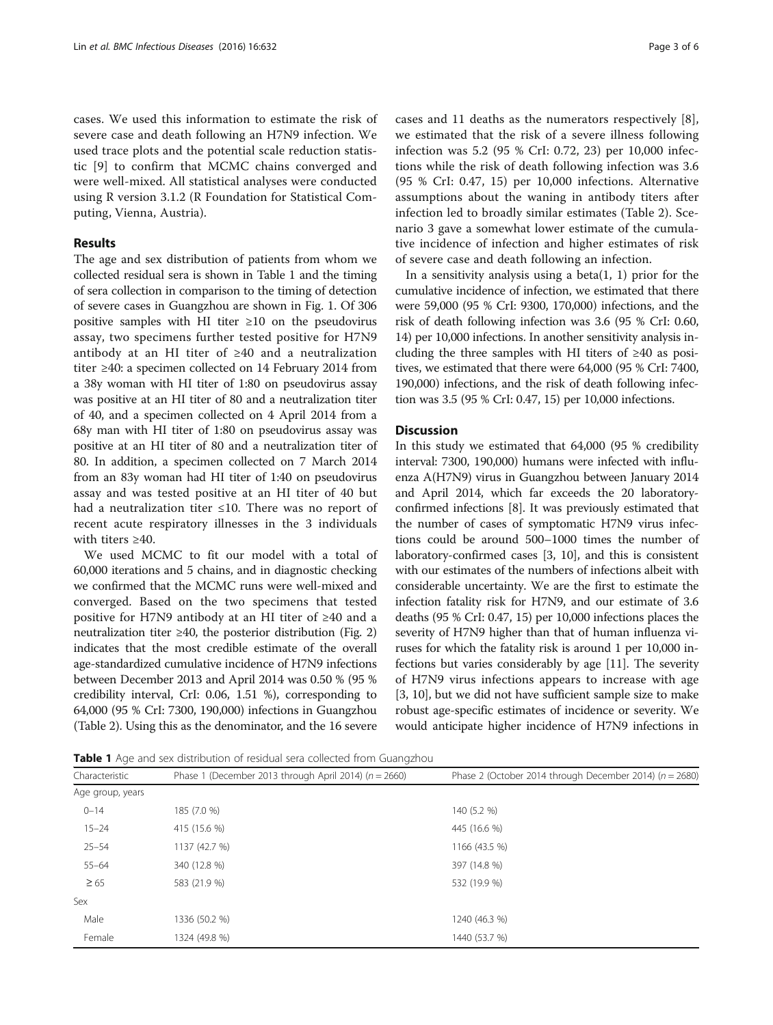cases. We used this information to estimate the risk of severe case and death following an H7N9 infection. We used trace plots and the potential scale reduction statistic [[9](#page-5-0)] to confirm that MCMC chains converged and were well-mixed. All statistical analyses were conducted using R version 3.1.2 (R Foundation for Statistical Computing, Vienna, Austria).

## Results

The age and sex distribution of patients from whom we collected residual sera is shown in Table 1 and the timing of sera collection in comparison to the timing of detection of severe cases in Guangzhou are shown in Fig. [1](#page-3-0). Of 306 positive samples with HI titer  $\geq 10$  on the pseudovirus assay, two specimens further tested positive for H7N9 antibody at an HI titer of ≥40 and a neutralization titer ≥40: a specimen collected on 14 February 2014 from a 38y woman with HI titer of 1:80 on pseudovirus assay was positive at an HI titer of 80 and a neutralization titer of 40, and a specimen collected on 4 April 2014 from a 68y man with HI titer of 1:80 on pseudovirus assay was positive at an HI titer of 80 and a neutralization titer of 80. In addition, a specimen collected on 7 March 2014 from an 83y woman had HI titer of 1:40 on pseudovirus assay and was tested positive at an HI titer of 40 but had a neutralization titer ≤10. There was no report of recent acute respiratory illnesses in the 3 individuals with titers ≥40.

We used MCMC to fit our model with a total of 60,000 iterations and 5 chains, and in diagnostic checking we confirmed that the MCMC runs were well-mixed and converged. Based on the two specimens that tested positive for H7N9 antibody at an HI titer of ≥40 and a neutralization titer  $\geq 40$ , the posterior distribution (Fig. [2](#page-3-0)) indicates that the most credible estimate of the overall age-standardized cumulative incidence of H7N9 infections between December 2013 and April 2014 was 0.50 % (95 % credibility interval, CrI: 0.06, 1.51 %), corresponding to 64,000 (95 % CrI: 7300, 190,000) infections in Guangzhou (Table [2](#page-4-0)). Using this as the denominator, and the 16 severe

cases and 11 deaths as the numerators respectively [\[8](#page-5-0)], we estimated that the risk of a severe illness following infection was 5.2 (95 % CrI: 0.72, 23) per 10,000 infections while the risk of death following infection was 3.6 (95 % CrI: 0.47, 15) per 10,000 infections. Alternative assumptions about the waning in antibody titers after infection led to broadly similar estimates (Table [2](#page-4-0)). Scenario 3 gave a somewhat lower estimate of the cumulative incidence of infection and higher estimates of risk of severe case and death following an infection.

In a sensitivity analysis using a beta $(1, 1)$  prior for the cumulative incidence of infection, we estimated that there were 59,000 (95 % CrI: 9300, 170,000) infections, and the risk of death following infection was 3.6 (95 % CrI: 0.60, 14) per 10,000 infections. In another sensitivity analysis including the three samples with HI titers of ≥40 as positives, we estimated that there were 64,000 (95 % CrI: 7400, 190,000) infections, and the risk of death following infection was 3.5 (95 % CrI: 0.47, 15) per 10,000 infections.

## **Discussion**

In this study we estimated that 64,000 (95 % credibility interval: 7300, 190,000) humans were infected with influenza A(H7N9) virus in Guangzhou between January 2014 and April 2014, which far exceeds the 20 laboratoryconfirmed infections [[8\]](#page-5-0). It was previously estimated that the number of cases of symptomatic H7N9 virus infections could be around 500–1000 times the number of laboratory-confirmed cases [\[3](#page-5-0), [10\]](#page-5-0), and this is consistent with our estimates of the numbers of infections albeit with considerable uncertainty. We are the first to estimate the infection fatality risk for H7N9, and our estimate of 3.6 deaths (95 % CrI: 0.47, 15) per 10,000 infections places the severity of H7N9 higher than that of human influenza viruses for which the fatality risk is around 1 per 10,000 infections but varies considerably by age [\[11\]](#page-5-0). The severity of H7N9 virus infections appears to increase with age [[3, 10](#page-5-0)], but we did not have sufficient sample size to make robust age-specific estimates of incidence or severity. We would anticipate higher incidence of H7N9 infections in

Table 1 Age and sex distribution of residual sera collected from Guangzhou

| Characteristic   | Phase 1 (December 2013 through April 2014) ( $n = 2660$ ) | Phase 2 (October 2014 through December 2014) ( $n = 2680$ ) |  |
|------------------|-----------------------------------------------------------|-------------------------------------------------------------|--|
| Age group, years |                                                           |                                                             |  |
| $0 - 14$         | 185 (7.0 %)                                               | 140 (5.2 %)                                                 |  |
| $15 - 24$        | 415 (15.6 %)                                              | 445 (16.6 %)                                                |  |
| $25 - 54$        | 1137 (42.7 %)                                             | 1166 (43.5 %)                                               |  |
| $55 - 64$        | 340 (12.8 %)                                              | 397 (14.8 %)                                                |  |
| $\geq 65$        | 583 (21.9 %)                                              | 532 (19.9 %)                                                |  |
| Sex              |                                                           |                                                             |  |
| Male             | 1336 (50.2 %)                                             | 1240 (46.3 %)                                               |  |
| Female           | 1324 (49.8 %)                                             | 1440 (53.7 %)                                               |  |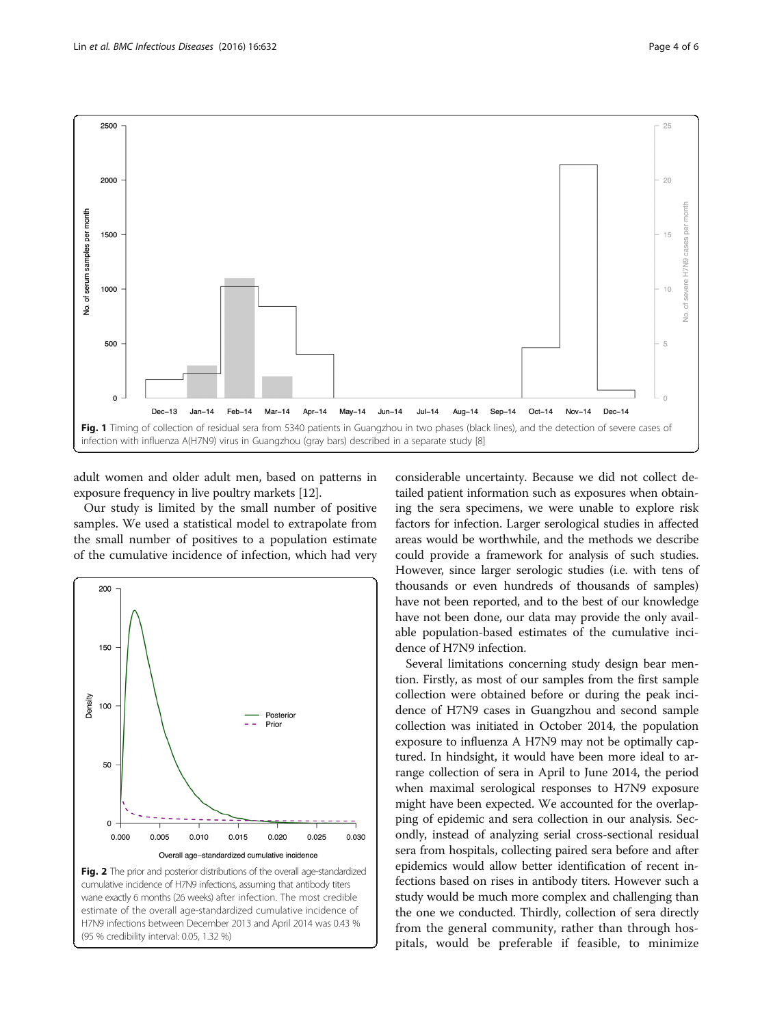<span id="page-3-0"></span>

adult women and older adult men, based on patterns in exposure frequency in live poultry markets [\[12\]](#page-5-0).

Our study is limited by the small number of positive samples. We used a statistical model to extrapolate from the small number of positives to a population estimate of the cumulative incidence of infection, which had very



(95 % credibility interval: 0.05, 1.32 %)

considerable uncertainty. Because we did not collect detailed patient information such as exposures when obtaining the sera specimens, we were unable to explore risk factors for infection. Larger serological studies in affected areas would be worthwhile, and the methods we describe could provide a framework for analysis of such studies. However, since larger serologic studies (i.e. with tens of thousands or even hundreds of thousands of samples) have not been reported, and to the best of our knowledge have not been done, our data may provide the only available population-based estimates of the cumulative incidence of H7N9 infection.

Several limitations concerning study design bear mention. Firstly, as most of our samples from the first sample collection were obtained before or during the peak incidence of H7N9 cases in Guangzhou and second sample collection was initiated in October 2014, the population exposure to influenza A H7N9 may not be optimally captured. In hindsight, it would have been more ideal to arrange collection of sera in April to June 2014, the period when maximal serological responses to H7N9 exposure might have been expected. We accounted for the overlapping of epidemic and sera collection in our analysis. Secondly, instead of analyzing serial cross-sectional residual sera from hospitals, collecting paired sera before and after epidemics would allow better identification of recent infections based on rises in antibody titers. However such a study would be much more complex and challenging than the one we conducted. Thirdly, collection of sera directly from the general community, rather than through hospitals, would be preferable if feasible, to minimize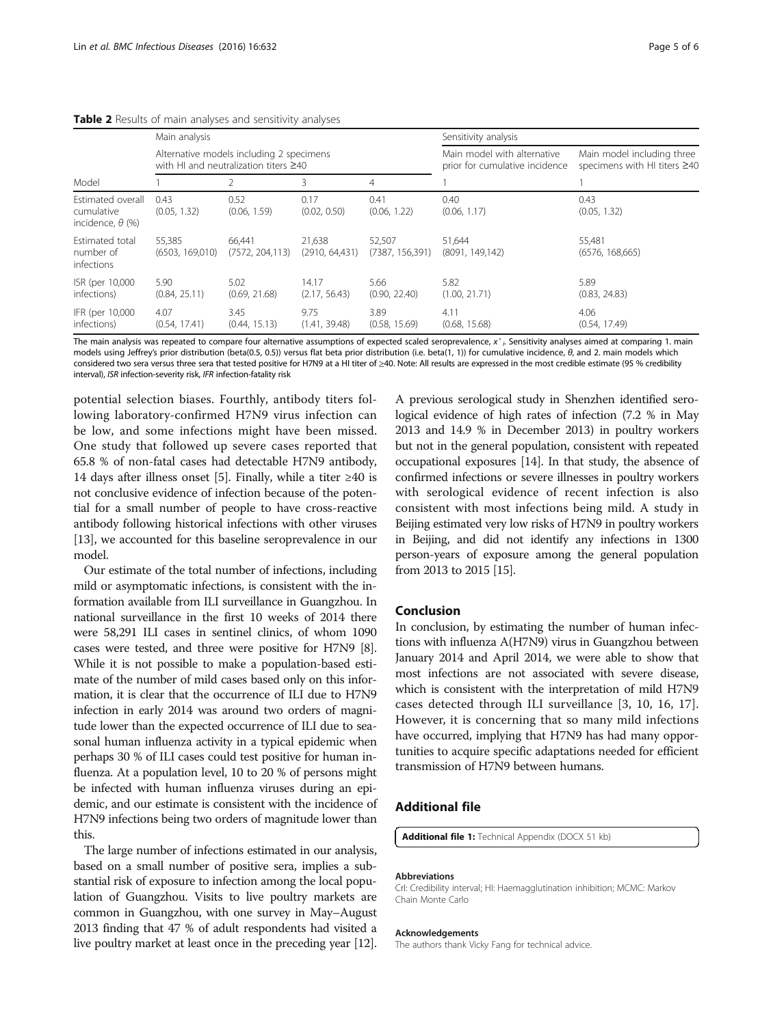| Model                                                      | Main analysis                                                                           |                            |                           |                            | Sensitivity analysis                                          |                                                            |
|------------------------------------------------------------|-----------------------------------------------------------------------------------------|----------------------------|---------------------------|----------------------------|---------------------------------------------------------------|------------------------------------------------------------|
|                                                            | Alternative models including 2 specimens<br>with HI and neutralization titers $\geq 40$ |                            |                           |                            | Main model with alternative<br>prior for cumulative incidence | Main model including three<br>specimens with HI titers ≥40 |
|                                                            |                                                                                         |                            | 3                         | 4                          |                                                               |                                                            |
| Estimated overall<br>cumulative<br>incidence, $\theta$ (%) | 0.43<br>(0.05, 1.32)                                                                    | 0.52<br>(0.06, 1.59)       | 0.17<br>(0.02, 0.50)      | 0.41<br>(0.06, 1.22)       | 0.40<br>(0.06, 1.17)                                          | 0.43<br>(0.05, 1.32)                                       |
| Estimated total<br>number of<br>infections                 | 55.385<br>(6503, 169, 010)                                                              | 66,441<br>(7572, 204, 113) | 21,638<br>(2910, 64, 431) | 52,507<br>(7387, 156, 391) | 51,644<br>(8091, 149, 142)                                    | 55,481<br>(6576, 168, 665)                                 |
| ISR (per 10,000)<br>infections)                            | 5.90<br>(0.84, 25.11)                                                                   | 5.02<br>(0.69, 21.68)      | 14.17<br>(2.17, 56.43)    | 5.66<br>(0.90, 22.40)      | 5.82<br>(1.00, 21.71)                                         | 5.89<br>(0.83, 24.83)                                      |
| IFR (per 10,000)<br>infections)                            | 4.07<br>(0.54, 17.41)                                                                   | 3.45<br>(0.44, 15.13)      | 9.75<br>(1.41, 39.48)     | 3.89<br>(0.58, 15.69)      | 4.11<br>(0.68, 15.68)                                         | 4.06<br>(0.54, 17.49)                                      |

#### <span id="page-4-0"></span>Table 2 Results of main analyses and sensitivity analyses

The main analysis was repeated to compare four alternative assumptions of expected scaled seroprevalence,  $x^i$ , Sensitivity analyses aimed at comparing 1. main models using Jeffrey's prior distribution (beta(0.5, 0.5)) versus flat beta prior distribution (i.e. beta(1, 1)) for cumulative incidence, θ, and 2. main models which considered two sera versus three sera that tested positive for H7N9 at a HI titer of ≥40. Note: All results are expressed in the most credible estimate (95 % credibility interval), ISR infection-severity risk, IFR infection-fatality risk

potential selection biases. Fourthly, antibody titers following laboratory-confirmed H7N9 virus infection can be low, and some infections might have been missed. One study that followed up severe cases reported that 65.8 % of non-fatal cases had detectable H7N9 antibody, 14 days after illness onset [\[5\]](#page-5-0). Finally, while a titer  $\geq 40$  is not conclusive evidence of infection because of the potential for a small number of people to have cross-reactive antibody following historical infections with other viruses [[13](#page-5-0)], we accounted for this baseline seroprevalence in our model.

Our estimate of the total number of infections, including mild or asymptomatic infections, is consistent with the information available from ILI surveillance in Guangzhou. In national surveillance in the first 10 weeks of 2014 there were 58,291 ILI cases in sentinel clinics, of whom 1090 cases were tested, and three were positive for H7N9 [[8](#page-5-0)]. While it is not possible to make a population-based estimate of the number of mild cases based only on this information, it is clear that the occurrence of ILI due to H7N9 infection in early 2014 was around two orders of magnitude lower than the expected occurrence of ILI due to seasonal human influenza activity in a typical epidemic when perhaps 30 % of ILI cases could test positive for human influenza. At a population level, 10 to 20 % of persons might be infected with human influenza viruses during an epidemic, and our estimate is consistent with the incidence of H7N9 infections being two orders of magnitude lower than this.

The large number of infections estimated in our analysis, based on a small number of positive sera, implies a substantial risk of exposure to infection among the local population of Guangzhou. Visits to live poultry markets are common in Guangzhou, with one survey in May–August 2013 finding that 47 % of adult respondents had visited a live poultry market at least once in the preceding year [[12](#page-5-0)].

A previous serological study in Shenzhen identified serological evidence of high rates of infection (7.2 % in May 2013 and 14.9 % in December 2013) in poultry workers but not in the general population, consistent with repeated occupational exposures [\[14\]](#page-5-0). In that study, the absence of confirmed infections or severe illnesses in poultry workers with serological evidence of recent infection is also consistent with most infections being mild. A study in Beijing estimated very low risks of H7N9 in poultry workers in Beijing, and did not identify any infections in 1300 person-years of exposure among the general population from 2013 to 2015 [\[15](#page-5-0)].

## Conclusion

In conclusion, by estimating the number of human infections with influenza A(H7N9) virus in Guangzhou between January 2014 and April 2014, we were able to show that most infections are not associated with severe disease, which is consistent with the interpretation of mild H7N9 cases detected through ILI surveillance [\[3](#page-5-0), [10, 16, 17](#page-5-0)]. However, it is concerning that so many mild infections have occurred, implying that H7N9 has had many opportunities to acquire specific adaptations needed for efficient transmission of H7N9 between humans.

## Additional file

[Additional file 1:](dx.doi.org/10.1186/s12879-016-1983-3) Technical Appendix (DOCX 51 kb)

#### Abbreviations

CrI: Credibility interval; HI: Haemagglutination inhibition; MCMC: Markov Chain Monte Carlo

#### Acknowledgements

The authors thank Vicky Fang for technical advice.